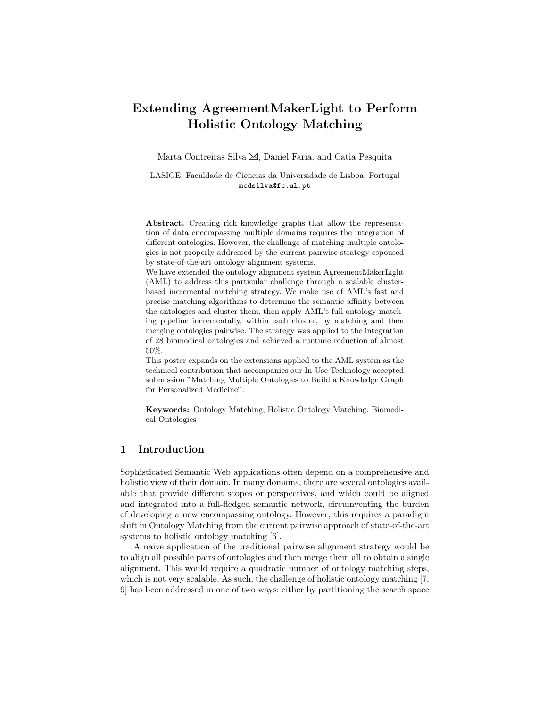# Extending AgreementMakerLight to Perform Holistic Ontology Matching

Marta Contreiras Silva  $\boxtimes$ , Daniel Faria, and Catia Pesquita

LASIGE, Faculdade de Ciências da Universidade de Lisboa, Portugal mcdsilva@fc.ul.pt

Abstract. Creating rich knowledge graphs that allow the representation of data encompassing multiple domains requires the integration of different ontologies. However, the challenge of matching multiple ontologies is not properly addressed by the current pairwise strategy espoused by state-of-the-art ontology alignment systems.

We have extended the ontology alignment system AgreementMakerLight (AML) to address this particular challenge through a scalable clusterbased incremental matching strategy. We make use of AML's fast and precise matching algorithms to determine the semantic affinity between the ontologies and cluster them, then apply AML's full ontology matching pipeline incrementally, within each cluster, by matching and then merging ontologies pairwise. The strategy was applied to the integration of 28 biomedical ontologies and achieved a runtime reduction of almost 50%.

This poster expands on the extensions applied to the AML system as the technical contribution that accompanies our In-Use Technology accepted submission "Matching Multiple Ontologies to Build a Knowledge Graph for Personalized Medicine".

Keywords: Ontology Matching, Holistic Ontology Matching, Biomedical Ontologies

### 1 Introduction

Sophisticated Semantic Web applications often depend on a comprehensive and holistic view of their domain. In many domains, there are several ontologies available that provide different scopes or perspectives, and which could be aligned and integrated into a full-fledged semantic network, circumventing the burden of developing a new encompassing ontology. However, this requires a paradigm shift in Ontology Matching from the current pairwise approach of state-of-the-art systems to holistic ontology matching [6].

A naive application of the traditional pairwise alignment strategy would be to align all possible pairs of ontologies and then merge them all to obtain a single alignment. This would require a quadratic number of ontology matching steps, which is not very scalable. As such, the challenge of holistic ontology matching [7, 9] has been addressed in one of two ways: either by partitioning the search space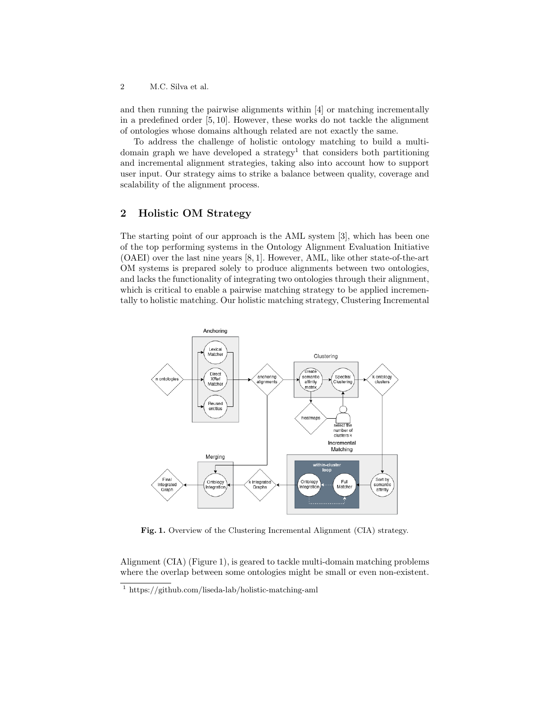2 M.C. Silva et al.

and then running the pairwise alignments within [4] or matching incrementally in a predefined order [5, 10]. However, these works do not tackle the alignment of ontologies whose domains although related are not exactly the same.

To address the challenge of holistic ontology matching to build a multidomain graph we have developed a strategy<sup>1</sup> that considers both partitioning and incremental alignment strategies, taking also into account how to support user input. Our strategy aims to strike a balance between quality, coverage and scalability of the alignment process.

## 2 Holistic OM Strategy

The starting point of our approach is the AML system [3], which has been one of the top performing systems in the Ontology Alignment Evaluation Initiative (OAEI) over the last nine years [8, 1]. However, AML, like other state-of-the-art OM systems is prepared solely to produce alignments between two ontologies, and lacks the functionality of integrating two ontologies through their alignment, which is critical to enable a pairwise matching strategy to be applied incrementally to holistic matching. Our holistic matching strategy, Clustering Incremental



Fig. 1. Overview of the Clustering Incremental Alignment (CIA) strategy.

Alignment (CIA) (Figure 1), is geared to tackle multi-domain matching problems where the overlap between some ontologies might be small or even non-existent.

 $\frac{1}{1}$  https://github.com/liseda-lab/holistic-matching-aml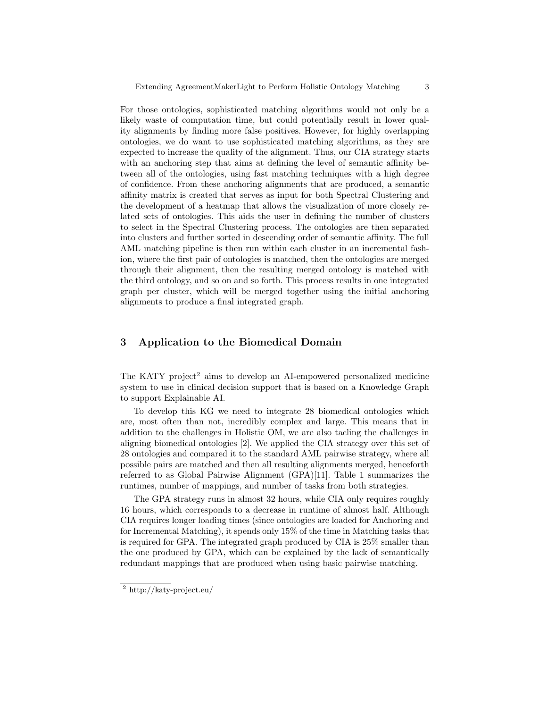For those ontologies, sophisticated matching algorithms would not only be a likely waste of computation time, but could potentially result in lower quality alignments by finding more false positives. However, for highly overlapping ontologies, we do want to use sophisticated matching algorithms, as they are expected to increase the quality of the alignment. Thus, our CIA strategy starts with an anchoring step that aims at defining the level of semantic affinity between all of the ontologies, using fast matching techniques with a high degree of confidence. From these anchoring alignments that are produced, a semantic affinity matrix is created that serves as input for both Spectral Clustering and the development of a heatmap that allows the visualization of more closely related sets of ontologies. This aids the user in defining the number of clusters to select in the Spectral Clustering process. The ontologies are then separated into clusters and further sorted in descending order of semantic affinity. The full AML matching pipeline is then run within each cluster in an incremental fashion, where the first pair of ontologies is matched, then the ontologies are merged through their alignment, then the resulting merged ontology is matched with the third ontology, and so on and so forth. This process results in one integrated graph per cluster, which will be merged together using the initial anchoring alignments to produce a final integrated graph.

#### 3 Application to the Biomedical Domain

The KATY project<sup>2</sup> aims to develop an AI-empowered personalized medicine system to use in clinical decision support that is based on a Knowledge Graph to support Explainable AI.

To develop this KG we need to integrate 28 biomedical ontologies which are, most often than not, incredibly complex and large. This means that in addition to the challenges in Holistic OM, we are also tacling the challenges in aligning biomedical ontologies [2]. We applied the CIA strategy over this set of 28 ontologies and compared it to the standard AML pairwise strategy, where all possible pairs are matched and then all resulting alignments merged, henceforth referred to as Global Pairwise Alignment (GPA)[11]. Table 1 summarizes the runtimes, number of mappings, and number of tasks from both strategies.

The GPA strategy runs in almost 32 hours, while CIA only requires roughly 16 hours, which corresponds to a decrease in runtime of almost half. Although CIA requires longer loading times (since ontologies are loaded for Anchoring and for Incremental Matching), it spends only 15% of the time in Matching tasks that is required for GPA. The integrated graph produced by CIA is 25% smaller than the one produced by GPA, which can be explained by the lack of semantically redundant mappings that are produced when using basic pairwise matching.

<sup>2</sup> http://katy-project.eu/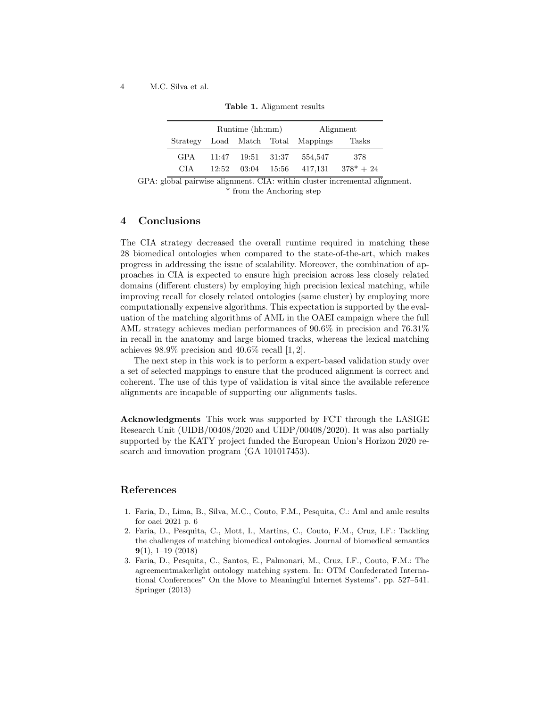#### 4 M.C. Silva et al.

|          | Runtime (hh:mm) |                         |  | Alignment                 |                        |
|----------|-----------------|-------------------------|--|---------------------------|------------------------|
| Strategy |                 |                         |  | Load Match Total Mappings | Tasks                  |
| GPA.     |                 | $11:47$ $19:51$ $31:37$ |  | 554.547                   | 378                    |
| CI A     | 12:52           | 03:04 15:56             |  |                           | $417,131$ $378^* + 24$ |

Table 1. Alignment results

GPA: global pairwise alignment. CIA: within cluster incremental alignment. \* from the Anchoring step

#### 4 Conclusions

The CIA strategy decreased the overall runtime required in matching these 28 biomedical ontologies when compared to the state-of-the-art, which makes progress in addressing the issue of scalability. Moreover, the combination of approaches in CIA is expected to ensure high precision across less closely related domains (different clusters) by employing high precision lexical matching, while improving recall for closely related ontologies (same cluster) by employing more computationally expensive algorithms. This expectation is supported by the evaluation of the matching algorithms of AML in the OAEI campaign where the full AML strategy achieves median performances of 90.6% in precision and 76.31% in recall in the anatomy and large biomed tracks, whereas the lexical matching achieves  $98.9\%$  precision and  $40.6\%$  recall  $[1, 2]$ .

The next step in this work is to perform a expert-based validation study over a set of selected mappings to ensure that the produced alignment is correct and coherent. The use of this type of validation is vital since the available reference alignments are incapable of supporting our alignments tasks.

Acknowledgments This work was supported by FCT through the LASIGE Research Unit (UIDB/00408/2020 and UIDP/00408/2020). It was also partially supported by the KATY project funded the European Union's Horizon 2020 research and innovation program (GA 101017453).

#### References

- 1. Faria, D., Lima, B., Silva, M.C., Couto, F.M., Pesquita, C.: Aml and amlc results for oaei 2021 p. 6
- 2. Faria, D., Pesquita, C., Mott, I., Martins, C., Couto, F.M., Cruz, I.F.: Tackling the challenges of matching biomedical ontologies. Journal of biomedical semantics 9(1), 1–19 (2018)
- 3. Faria, D., Pesquita, C., Santos, E., Palmonari, M., Cruz, I.F., Couto, F.M.: The agreementmakerlight ontology matching system. In: OTM Confederated International Conferences" On the Move to Meaningful Internet Systems". pp. 527–541. Springer (2013)